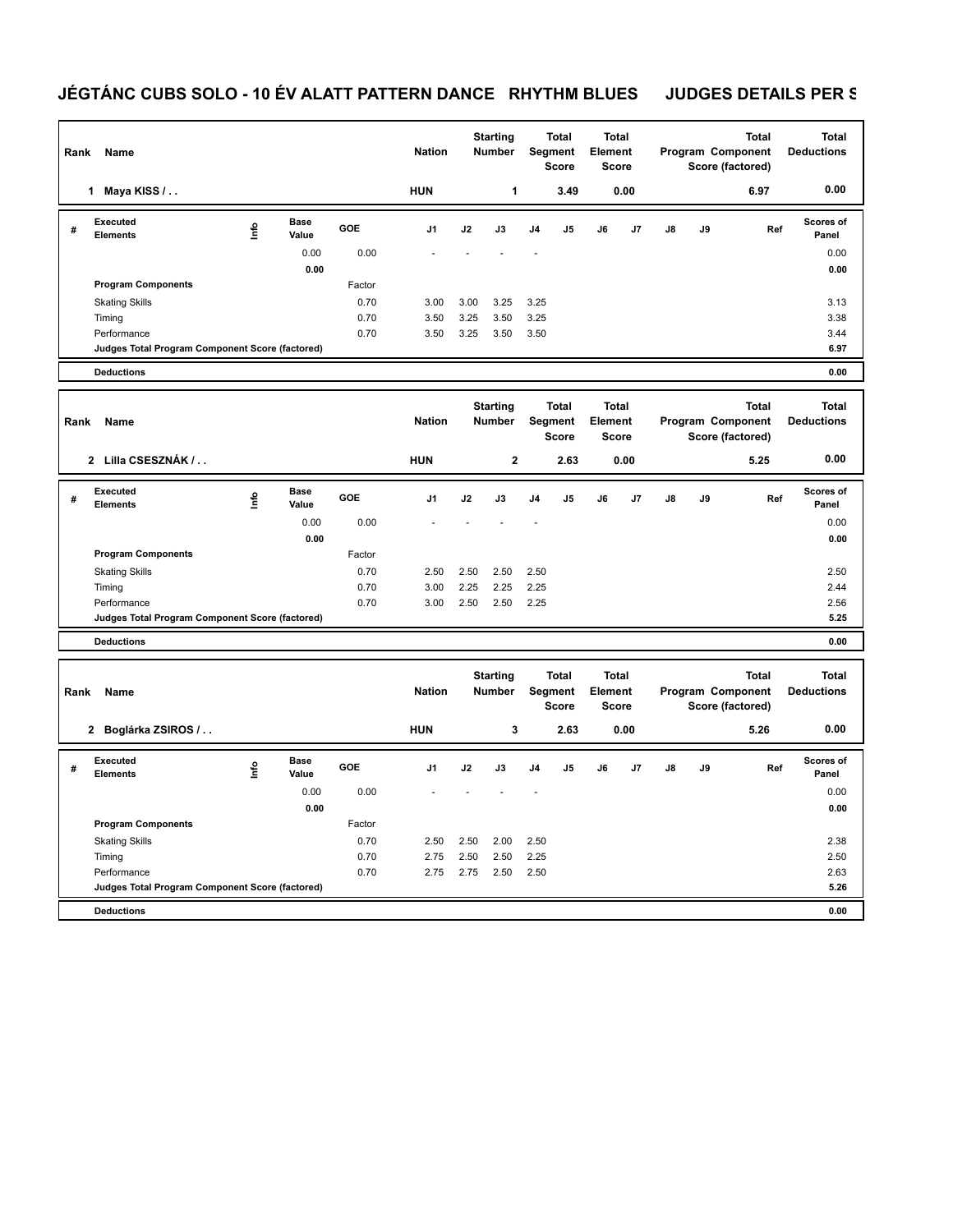## **JÉGTÁNC CUBS SOLO - 10 ÉV ALATT PATTERN DANCE RHYTHM BLUES JUDGES DETAILS PER S**

| Rank | Name                                            | <b>Nation</b> |                      | <b>Starting</b><br><b>Number</b> |                | Total<br>Segment<br><b>Score</b> | <b>Total</b><br>Element<br><b>Score</b> |                |                |    | <b>Total</b><br>Program Component<br>Score (factored) | <b>Total</b><br><b>Deductions</b> |    |      |                           |
|------|-------------------------------------------------|---------------|----------------------|----------------------------------|----------------|----------------------------------|-----------------------------------------|----------------|----------------|----|-------------------------------------------------------|-----------------------------------|----|------|---------------------------|
|      | Maya KISS /<br>1.                               |               |                      |                                  | <b>HUN</b>     |                                  | 1                                       |                | 3.49           |    | 0.00                                                  |                                   |    | 6.97 | 0.00                      |
| #    | Executed<br><b>Elements</b>                     | ۴             | <b>Base</b><br>Value | <b>GOE</b>                       | J <sub>1</sub> | J2                               | J3                                      | J <sub>4</sub> | J <sub>5</sub> | J6 | J7                                                    | $\mathsf{J}8$                     | J9 | Ref  | <b>Scores of</b><br>Panel |
|      |                                                 |               | 0.00                 | 0.00                             |                |                                  |                                         | ۰              |                |    |                                                       |                                   |    |      | 0.00                      |
|      |                                                 |               | 0.00                 |                                  |                |                                  |                                         |                |                |    |                                                       |                                   |    |      | 0.00                      |
|      | <b>Program Components</b>                       |               |                      | Factor                           |                |                                  |                                         |                |                |    |                                                       |                                   |    |      |                           |
|      | <b>Skating Skills</b>                           |               |                      | 0.70                             | 3.00           | 3.00                             | 3.25                                    | 3.25           |                |    |                                                       |                                   |    |      | 3.13                      |
|      | Timing                                          |               |                      | 0.70                             | 3.50           | 3.25                             | 3.50                                    | 3.25           |                |    |                                                       |                                   |    |      | 3.38                      |
|      | Performance                                     |               |                      | 0.70                             | 3.50           | 3.25                             | 3.50                                    | 3.50           |                |    |                                                       |                                   |    |      | 3.44                      |
|      | Judges Total Program Component Score (factored) |               |                      |                                  |                |                                  |                                         |                |                |    |                                                       |                                   |    |      | 6.97                      |
|      | <b>Deductions</b>                               |               |                      |                                  |                |                                  |                                         |                |                |    |                                                       |                                   |    |      | 0.00                      |

| Rank<br>Name |                                                 |      |                      |            | <b>Nation</b>  |      | <b>Starting</b><br><b>Number</b> | Segment        | <b>Total</b><br><b>Score</b> | <b>Total</b><br>Element<br><b>Score</b> |      |               |    | <b>Total</b><br>Program Component<br>Score (factored) | <b>Total</b><br><b>Deductions</b> |
|--------------|-------------------------------------------------|------|----------------------|------------|----------------|------|----------------------------------|----------------|------------------------------|-----------------------------------------|------|---------------|----|-------------------------------------------------------|-----------------------------------|
|              | Lilla CSESZNÁK /<br>$\overline{2}$              |      |                      |            | <b>HUN</b>     |      | $\mathbf{2}$                     |                | 2.63                         |                                         | 0.00 |               |    | 5.25                                                  | 0.00                              |
| #            | Executed<br><b>Elements</b>                     | Info | <b>Base</b><br>Value | <b>GOE</b> | J <sub>1</sub> | J2   | J3                               | J <sub>4</sub> | J5                           | J6                                      | J7   | $\mathsf{J}8$ | J9 | Ref                                                   | <b>Scores of</b><br>Panel         |
|              |                                                 |      | 0.00                 | 0.00       |                |      |                                  |                |                              |                                         |      |               |    |                                                       | 0.00                              |
|              |                                                 |      | 0.00                 |            |                |      |                                  |                |                              |                                         |      |               |    |                                                       | 0.00                              |
|              | <b>Program Components</b>                       |      |                      | Factor     |                |      |                                  |                |                              |                                         |      |               |    |                                                       |                                   |
|              | <b>Skating Skills</b>                           |      |                      | 0.70       | 2.50           | 2.50 | 2.50                             | 2.50           |                              |                                         |      |               |    |                                                       | 2.50                              |
|              | Timing                                          |      |                      | 0.70       | 3.00           | 2.25 | 2.25                             | 2.25           |                              |                                         |      |               |    |                                                       | 2.44                              |
|              | Performance                                     |      |                      | 0.70       | 3.00           | 2.50 | 2.50                             | 2.25           |                              |                                         |      |               |    |                                                       | 2.56                              |
|              | Judges Total Program Component Score (factored) |      |                      |            |                |      |                                  |                |                              |                                         |      |               |    |                                                       | 5.25                              |
|              | <b>Deductions</b>                               |      |                      |            |                |      |                                  |                |                              |                                         |      |               |    |                                                       | 0.00                              |

|   | Rank<br>Name                                    |      |               |            |            |      | <b>Starting</b><br><b>Number</b> |                | <b>Total</b><br>Segment<br><b>Score</b> | <b>Total</b><br>Element<br><b>Score</b> |      |    |           | <b>Total</b><br>Program Component<br>Score (factored) | <b>Total</b><br><b>Deductions</b> |
|---|-------------------------------------------------|------|---------------|------------|------------|------|----------------------------------|----------------|-----------------------------------------|-----------------------------------------|------|----|-----------|-------------------------------------------------------|-----------------------------------|
|   | Boglárka ZSIROS /<br>$\mathbf{2}$               |      |               |            | <b>HUN</b> |      | 3                                |                | 2.63                                    |                                         | 0.00 |    |           | 5.26                                                  | 0.00                              |
| # | Executed<br><b>Elements</b>                     | ١nto | Base<br>Value | <b>GOE</b> | J1         | J2   | J3                               | J <sub>4</sub> | J5                                      | J6                                      | J7   | J8 | <b>J9</b> | Ref                                                   | Scores of<br>Panel                |
|   |                                                 |      | 0.00          | 0.00       |            |      |                                  |                |                                         |                                         |      |    |           |                                                       | 0.00                              |
|   |                                                 |      | 0.00          |            |            |      |                                  |                |                                         |                                         |      |    |           |                                                       | 0.00                              |
|   | <b>Program Components</b>                       |      |               | Factor     |            |      |                                  |                |                                         |                                         |      |    |           |                                                       |                                   |
|   | <b>Skating Skills</b>                           |      |               | 0.70       | 2.50       | 2.50 | 2.00                             | 2.50           |                                         |                                         |      |    |           |                                                       | 2.38                              |
|   | Timing                                          |      |               | 0.70       | 2.75       | 2.50 | 2.50                             | 2.25           |                                         |                                         |      |    |           |                                                       | 2.50                              |
|   | Performance                                     |      |               | 0.70       | 2.75       | 2.75 | 2.50                             | 2.50           |                                         |                                         |      |    |           |                                                       | 2.63                              |
|   | Judges Total Program Component Score (factored) |      |               |            |            |      |                                  |                |                                         |                                         |      |    |           |                                                       | 5.26                              |
|   | <b>Deductions</b>                               |      |               |            |            |      |                                  |                |                                         |                                         |      |    |           |                                                       | 0.00                              |